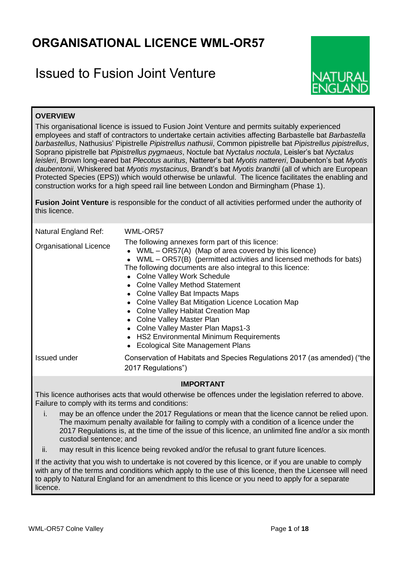# **ORGANISATIONAL LICENCE WML-OR57**

# Issued to Fusion Joint Venture



# **OVERVIEW**

This organisational licence is issued to Fusion Joint Venture and permits suitably experienced employees and staff of contractors to undertake certain activities affecting Barbastelle bat *Barbastella barbastellus*, Nathusius' Pipistrelle *Pipistrellus nathusii*, Common pipistrelle bat *Pipistrellus pipistrellus*, Soprano pipistrelle bat *Pipistrellus pygmaeus*, Noctule bat *Nyctalus noctula*, Leisler's bat *Nyctalus leisleri*, Brown long-eared bat *Plecotus auritus*, Natterer's bat *Myotis nattereri*, Daubenton's bat *Myotis daubentonii*, Whiskered bat *Myotis mystacinus*, Brandt's bat *Myotis brandtii* (all of which are European Protected Species (EPS)) which would otherwise be unlawful. The licence facilitates the enabling and construction works for a high speed rail line between London and Birmingham (Phase 1).

**Fusion Joint Venture** is responsible for the conduct of all activities performed under the authority of this licence.

| Natural England Ref:<br><b>Organisational Licence</b> | WML-OR57<br>The following annexes form part of this licence:<br>• WML $-$ OR57(A) (Map of area covered by this licence)<br>• WML – OR57(B) (permitted activities and licensed methods for bats)<br>The following documents are also integral to this licence:<br>• Colne Valley Work Schedule<br>• Colne Valley Method Statement<br>• Colne Valley Bat Impacts Maps<br>• Colne Valley Bat Mitigation Licence Location Map<br>• Colne Valley Habitat Creation Map<br>• Colne Valley Master Plan<br>• Colne Valley Master Plan Maps1-3<br>• HS2 Environmental Minimum Requirements<br><b>Ecological Site Management Plans</b> |
|-------------------------------------------------------|-----------------------------------------------------------------------------------------------------------------------------------------------------------------------------------------------------------------------------------------------------------------------------------------------------------------------------------------------------------------------------------------------------------------------------------------------------------------------------------------------------------------------------------------------------------------------------------------------------------------------------|
| Issued under                                          | Conservation of Habitats and Species Regulations 2017 (as amended) ("the<br>2017 Regulations")                                                                                                                                                                                                                                                                                                                                                                                                                                                                                                                              |

# **IMPORTANT**

This licence authorises acts that would otherwise be offences under the legislation referred to above. Failure to comply with its terms and conditions:

- i. may be an offence under the 2017 Regulations or mean that the licence cannot be relied upon. The maximum penalty available for failing to comply with a condition of a licence under the 2017 Regulations is, at the time of the issue of this licence, an unlimited fine and/or a six month custodial sentence; and
- ii. may result in this licence being revoked and/or the refusal to grant future licences.

If the activity that you wish to undertake is not covered by this licence, or if you are unable to comply with any of the terms and conditions which apply to the use of this licence, then the Licensee will need to apply to Natural England for an amendment to this licence or you need to apply for a separate licence.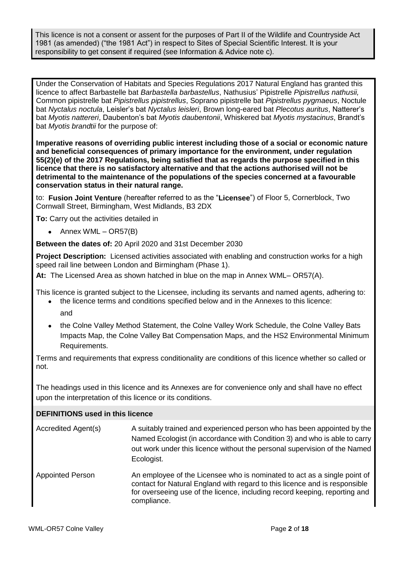This licence is not a consent or assent for the purposes of Part II of the Wildlife and Countryside Act 1981 (as amended) ("the 1981 Act") in respect to Sites of Special Scientific Interest. It is your responsibility to get consent if required (see Information & Advice note c).

Under the Conservation of Habitats and Species Regulations 2017 Natural England has granted this licence to affect Barbastelle bat *Barbastella barbastellus*, Nathusius' Pipistrelle *Pipistrellus nathusii,* Common pipistrelle bat *Pipistrellus pipistrellus*, Soprano pipistrelle bat *Pipistrellus pygmaeus*, Noctule bat *Nyctalus noctula*, Leisler's bat *Nyctalus leisleri*, Brown long-eared bat *Plecotus auritus*, Natterer's bat *Myotis nattereri*, Daubenton's bat *Myotis daubentonii*, Whiskered bat *Myotis mystacinus*, Brandt's bat *Myotis brandtii* for the purpose of:

**Imperative reasons of overriding public interest including those of a social or economic nature and beneficial consequences of primary importance for the environment, under regulation 55(2)(e) of the 2017 Regulations, being satisfied that as regards the purpose specified in this licence that there is no satisfactory alternative and that the actions authorised will not be detrimental to the maintenance of the populations of the species concerned at a favourable conservation status in their natural range.**

to: **Fusion Joint Venture** (hereafter referred to as the "**Licensee**") of Floor 5, Cornerblock, Two Cornwall Street, Birmingham, West Midlands, B3 2DX

**To:** Carry out the activities detailed in

 $\bullet$  Annex WML – OR57(B)

**Between the dates of:** 20 April 2020 and 31st December 2030

**Project Description:** Licensed activities associated with enabling and construction works for a high speed rail line between London and Birmingham (Phase 1).

**At:** The Licensed Area as shown hatched in blue on the map in Annex WML– OR57(A).

This licence is granted subject to the Licensee, including its servants and named agents, adhering to:

- the licence terms and conditions specified below and in the Annexes to this licence: and
- the Colne Valley Method Statement, the Colne Valley Work Schedule, the Colne Valley Bats Impacts Map, the Colne Valley Bat Compensation Maps, and the HS2 Environmental Minimum Requirements.

Terms and requirements that express conditionality are conditions of this licence whether so called or not.

The headings used in this licence and its Annexes are for convenience only and shall have no effect upon the interpretation of this licence or its conditions.

# **DEFINITIONS used in this licence**

| Accredited Agent(s)     | A suitably trained and experienced person who has been appointed by the<br>Named Ecologist (in accordance with Condition 3) and who is able to carry<br>out work under this licence without the personal supervision of the Named<br>Ecologist.     |
|-------------------------|-----------------------------------------------------------------------------------------------------------------------------------------------------------------------------------------------------------------------------------------------------|
| <b>Appointed Person</b> | An employee of the Licensee who is nominated to act as a single point of<br>contact for Natural England with regard to this licence and is responsible<br>for overseeing use of the licence, including record keeping, reporting and<br>compliance. |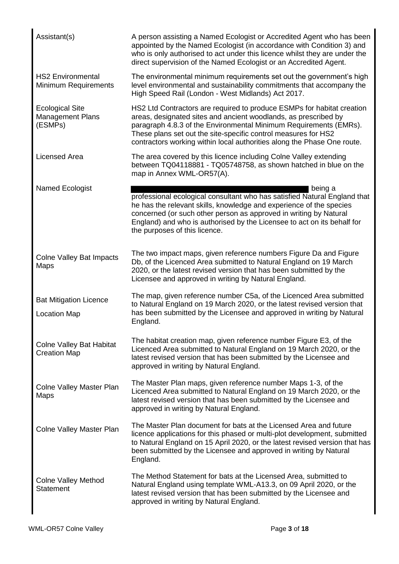| Assistant(s)                                                 | A person assisting a Named Ecologist or Accredited Agent who has been<br>appointed by the Named Ecologist (in accordance with Condition 3) and<br>who is only authorised to act under this licence whilst they are under the<br>direct supervision of the Named Ecologist or an Accredited Agent.                                                           |
|--------------------------------------------------------------|-------------------------------------------------------------------------------------------------------------------------------------------------------------------------------------------------------------------------------------------------------------------------------------------------------------------------------------------------------------|
| <b>HS2 Environmental</b><br>Minimum Requirements             | The environmental minimum requirements set out the government's high<br>level environmental and sustainability commitments that accompany the<br>High Speed Rail (London - West Midlands) Act 2017.                                                                                                                                                         |
| <b>Ecological Site</b><br><b>Management Plans</b><br>(ESMPs) | HS2 Ltd Contractors are required to produce ESMPs for habitat creation<br>areas, designated sites and ancient woodlands, as prescribed by<br>paragraph 4.8.3 of the Environmental Minimum Requirements (EMRs).<br>These plans set out the site-specific control measures for HS2<br>contractors working within local authorities along the Phase One route. |
| Licensed Area                                                | The area covered by this licence including Colne Valley extending<br>between TQ04118881 - TQ05748758, as shown hatched in blue on the<br>map in Annex WML-OR57(A).                                                                                                                                                                                          |
| Named Ecologist                                              | being a<br>professional ecological consultant who has satisfied Natural England that<br>he has the relevant skills, knowledge and experience of the species<br>concerned (or such other person as approved in writing by Natural<br>England) and who is authorised by the Licensee to act on its behalf for<br>the purposes of this licence.                |
| <b>Colne Valley Bat Impacts</b><br>Maps                      | The two impact maps, given reference numbers Figure Da and Figure<br>Db, of the Licenced Area submitted to Natural England on 19 March<br>2020, or the latest revised version that has been submitted by the<br>Licensee and approved in writing by Natural England.                                                                                        |
| <b>Bat Mitigation Licence</b><br><b>Location Map</b>         | The map, given reference number C5a, of the Licenced Area submitted<br>to Natural England on 19 March 2020, or the latest revised version that<br>has been submitted by the Licensee and approved in writing by Natural<br>England.                                                                                                                         |
| <b>Colne Valley Bat Habitat</b><br><b>Creation Map</b>       | The habitat creation map, given reference number Figure E3, of the<br>Licenced Area submitted to Natural England on 19 March 2020, or the<br>latest revised version that has been submitted by the Licensee and<br>approved in writing by Natural England.                                                                                                  |
| Colne Valley Master Plan<br>Maps                             | The Master Plan maps, given reference number Maps 1-3, of the<br>Licenced Area submitted to Natural England on 19 March 2020, or the<br>latest revised version that has been submitted by the Licensee and<br>approved in writing by Natural England.                                                                                                       |
| Colne Valley Master Plan                                     | The Master Plan document for bats at the Licensed Area and future<br>licence applications for this phased or multi-plot development, submitted<br>to Natural England on 15 April 2020, or the latest revised version that has<br>been submitted by the Licensee and approved in writing by Natural<br>England.                                              |
| <b>Colne Valley Method</b><br><b>Statement</b>               | The Method Statement for bats at the Licensed Area, submitted to<br>Natural England using template WML-A13.3, on 09 April 2020, or the<br>latest revised version that has been submitted by the Licensee and<br>approved in writing by Natural England.                                                                                                     |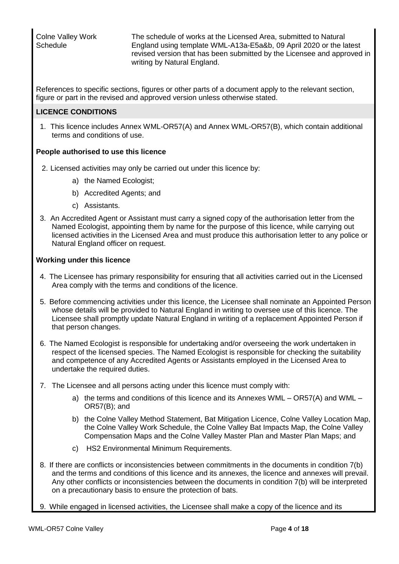Colne Valley Work **Schedule** 

The schedule of works at the Licensed Area, submitted to Natural England using template WML-A13a-E5a&b, 09 April 2020 or the latest revised version that has been submitted by the Licensee and approved in writing by Natural England.

References to specific sections, figures or other parts of a document apply to the relevant section, figure or part in the revised and approved version unless otherwise stated.

# **LICENCE CONDITIONS**

1. This licence includes Annex WML-OR57(A) and Annex WML-OR57(B), which contain additional terms and conditions of use.

# **People authorised to use this licence**

- 2. Licensed activities may only be carried out under this licence by:
	- a) the Named Ecologist;
	- b) Accredited Agents; and
	- c) Assistants.
- 3. An Accredited Agent or Assistant must carry a signed copy of the authorisation letter from the Named Ecologist, appointing them by name for the purpose of this licence, while carrying out licensed activities in the Licensed Area and must produce this authorisation letter to any police or Natural England officer on request.

# **Working under this licence**

- 4. The Licensee has primary responsibility for ensuring that all activities carried out in the Licensed Area comply with the terms and conditions of the licence.
- 5. Before commencing activities under this licence, the Licensee shall nominate an Appointed Person whose details will be provided to Natural England in writing to oversee use of this licence. The Licensee shall promptly update Natural England in writing of a replacement Appointed Person if that person changes.
- 6. The Named Ecologist is responsible for undertaking and/or overseeing the work undertaken in respect of the licensed species. The Named Ecologist is responsible for checking the suitability and competence of any Accredited Agents or Assistants employed in the Licensed Area to undertake the required duties.
- 7. The Licensee and all persons acting under this licence must comply with:
	- a) the terms and conditions of this licence and its Annexes WML OR57(A) and WML OR57(B); and
	- b) the Colne Valley Method Statement, Bat Mitigation Licence, Colne Valley Location Map, the Colne Valley Work Schedule, the Colne Valley Bat Impacts Map, the Colne Valley Compensation Maps and the Colne Valley Master Plan and Master Plan Maps; and
	- c) HS2 Environmental Minimum Requirements.
- 8. If there are conflicts or inconsistencies between commitments in the documents in condition 7(b) and the terms and conditions of this licence and its annexes, the licence and annexes will prevail. Any other conflicts or inconsistencies between the documents in condition 7(b) will be interpreted on a precautionary basis to ensure the protection of bats.
- 9. While engaged in licensed activities, the Licensee shall make a copy of the licence and its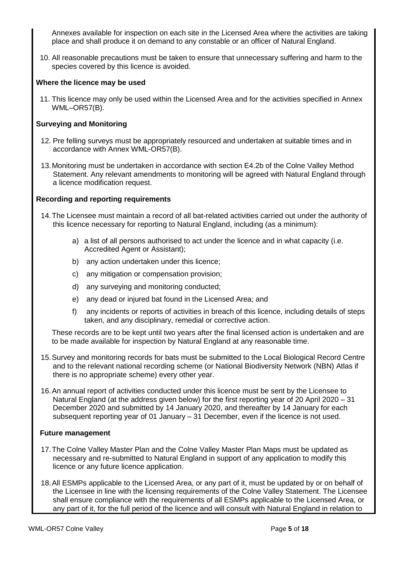Annexes available for inspection on each site in the Licensed Area where the activities are taking place and shall produce it on demand to any constable or an officer of Natural England.

10. All reasonable precautions must be taken to ensure that unnecessary suffering and harm to the species covered by this licence is avoided.

### **Where the licence may be used**

11. This licence may only be used within the Licensed Area and for the activities specified in Annex WML–OR57(B).

### **Surveying and Monitoring**

- 12. Pre felling surveys must be appropriately resourced and undertaken at suitable times and in accordance with Annex WML-OR57(B).
- 13.Monitoring must be undertaken in accordance with section E4.2b of the Colne Valley Method Statement. Any relevant amendments to monitoring will be agreed with Natural England through a licence modification request.

### **Recording and reporting requirements**

- 14.The Licensee must maintain a record of all bat-related activities carried out under the authority of this licence necessary for reporting to Natural England, including (as a minimum):
	- a) a list of all persons authorised to act under the licence and in what capacity (i.e. Accredited Agent or Assistant);
	- b) any action undertaken under this licence;
	- c) any mitigation or compensation provision;
	- d) any surveying and monitoring conducted;
	- e) any dead or injured bat found in the Licensed Area; and
	- f) any incidents or reports of activities in breach of this licence, including details of steps taken, and any disciplinary, remedial or corrective action.

These records are to be kept until two years after the final licensed action is undertaken and are to be made available for inspection by Natural England at any reasonable time.

- 15.Survey and monitoring records for bats must be submitted to the Local Biological Record Centre and to the relevant national recording scheme (or National Biodiversity Network (NBN) Atlas if there is no appropriate scheme) every other year.
- 16.An annual report of activities conducted under this licence must be sent by the Licensee to Natural England (at the address given below) for the first reporting year of 20 April 2020 – 31 December 2020 and submitted by 14 January 2020, and thereafter by 14 January for each subsequent reporting year of 01 January – 31 December, even if the licence is not used.

### **Future management**

- 17.The Colne Valley Master Plan and the Colne Valley Master Plan Maps must be updated as necessary and re-submitted to Natural England in support of any application to modify this licence or any future licence application.
- 18.All ESMPs applicable to the Licensed Area, or any part of it, must be updated by or on behalf of the Licensee in line with the licensing requirements of the Colne Valley Statement. The Licensee shall ensure compliance with the requirements of all ESMPs applicable to the Licensed Area, or any part of it, for the full period of the licence and will consult with Natural England in relation to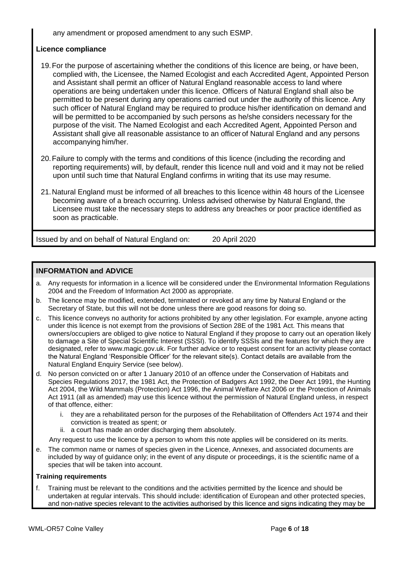any amendment or proposed amendment to any such ESMP.

# **Licence compliance**

- 19.For the purpose of ascertaining whether the conditions of this licence are being, or have been, complied with, the Licensee, the Named Ecologist and each Accredited Agent, Appointed Person and Assistant shall permit an officer of Natural England reasonable access to land where operations are being undertaken under this licence. Officers of Natural England shall also be permitted to be present during any operations carried out under the authority of this licence. Any such officer of Natural England may be required to produce his/her identification on demand and will be permitted to be accompanied by such persons as he/she considers necessary for the purpose of the visit. The Named Ecologist and each Accredited Agent, Appointed Person and Assistant shall give all reasonable assistance to an officer of Natural England and any persons accompanying him/her.
- 20.Failure to comply with the terms and conditions of this licence (including the recording and reporting requirements) will, by default, render this licence null and void and it may not be relied upon until such time that Natural England confirms in writing that its use may resume.
- 21.Natural England must be informed of all breaches to this licence within 48 hours of the Licensee becoming aware of a breach occurring. Unless advised otherwise by Natural England, the Licensee must take the necessary steps to address any breaches or poor practice identified as soon as practicable.

Issued by and on behalf of Natural England on: 20 April 2020

# **INFORMATION and ADVICE**

- a. Any requests for information in a licence will be considered under the Environmental Information Regulations 2004 and the Freedom of Information Act 2000 as appropriate.
- b. The licence may be modified, extended, terminated or revoked at any time by Natural England or the Secretary of State, but this will not be done unless there are good reasons for doing so.
- c. This licence conveys no authority for actions prohibited by any other legislation. For example, anyone acting under this licence is not exempt from the provisions of Section 28E of the 1981 Act. This means that owners/occupiers are obliged to give notice to Natural England if they propose to carry out an operation likely to damage a Site of Special Scientific Interest (SSSI). To identify SSSIs and the features for which they are designated, refer to www.magic.gov.uk. For further advice or to request consent for an activity please contact the Natural England 'Responsible Officer' for the relevant site(s). Contact details are available from the Natural England Enquiry Service (see below).
- d. No person convicted on or after 1 January 2010 of an offence under the Conservation of Habitats and Species Regulations 2017, the 1981 Act, the Protection of Badgers Act 1992, the Deer Act 1991, the Hunting Act 2004, the Wild Mammals (Protection) Act 1996, the Animal Welfare Act 2006 or the Protection of Animals Act 1911 (all as amended) may use this licence without the permission of Natural England unless, in respect of that offence, either:
	- i. they are a rehabilitated person for the purposes of the Rehabilitation of Offenders Act 1974 and their conviction is treated as spent; or
	- ii. a court has made an order discharging them absolutely.

Any request to use the licence by a person to whom this note applies will be considered on its merits.

e. The common name or names of species given in the Licence, Annexes, and associated documents are included by way of guidance only; in the event of any dispute or proceedings, it is the scientific name of a species that will be taken into account.

#### **Training requirements**

f. Training must be relevant to the conditions and the activities permitted by the licence and should be undertaken at regular intervals. This should include: identification of European and other protected species, and non-native species relevant to the activities authorised by this licence and signs indicating they may be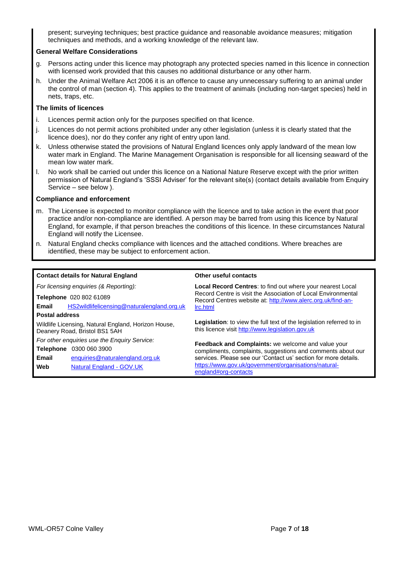present; surveying techniques; best practice guidance and reasonable avoidance measures; mitigation techniques and methods, and a working knowledge of the relevant law.

#### **General Welfare Considerations**

- g. Persons acting under this licence may photograph any protected species named in this licence in connection with licensed work provided that this causes no additional disturbance or any other harm.
- h. Under the Animal Welfare Act 2006 it is an offence to cause any unnecessary suffering to an animal under the control of man (section 4). This applies to the treatment of animals (including non-target species) held in nets, traps, etc.

#### **The limits of licences**

- i. Licences permit action only for the purposes specified on that licence.
- j. Licences do not permit actions prohibited under any other legislation (unless it is clearly stated that the licence does), nor do they confer any right of entry upon land.
- k. Unless otherwise stated the provisions of Natural England licences only apply landward of the mean low water mark in England. The Marine Management Organisation is responsible for all licensing seaward of the mean low water mark.
- l. No work shall be carried out under this licence on a National Nature Reserve except with the prior written permission of Natural England's 'SSSI Adviser' for the relevant site(s) (contact details available from Enquiry Service – see below ).

#### **Compliance and enforcement**

- m. The Licensee is expected to monitor compliance with the licence and to take action in the event that poor practice and/or non-compliance are identified. A person may be barred from using this licence by Natural England, for example, if that person breaches the conditions of this licence. In these circumstances Natural England will notify the Licensee.
- n. Natural England checks compliance with licences and the attached conditions. Where breaches are identified, these may be subject to enforcement action.

#### **Contact details for Natural England Other useful contacts**

*For licensing enquiries (& Reporting):* **Telephone** 020 802 61089 **Email** HS2wildlifelicensing@naturalengland.org.uk **Postal address** Wildlife Licensing, Natural England, Horizon House, Deanery Road, Bristol BS1 5AH *For other enquiries use the Enquiry Service:*

**Telephone** 0300 060 3900

**Email** enquiries@naturalengland.org.uk **Web** Natural England - GOV.UK

**Local Record Centres**: to find out where your nearest Local Record Centre is visit the Association of Local Environmental Record Centres website at: http://www.alerc.org.uk/find-anlrc.html

**Legislation**: to view the full text of the legislation referred to in this licence visit http://www.legislation.gov.uk

**Feedback and Complaints:** we welcome and value your compliments, complaints, suggestions and comments about our services. Please see our 'Contact us' section for more details. https://www.gov.uk/government/organisations/naturalengland#org-contacts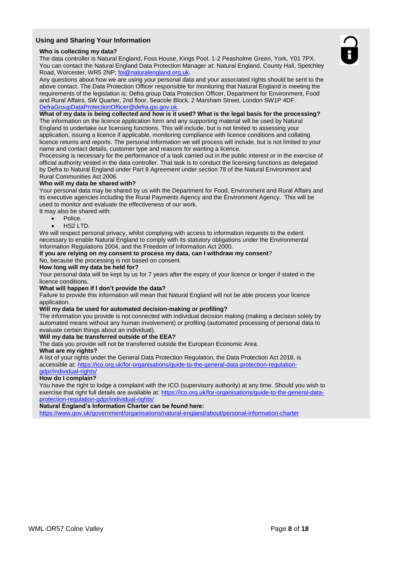#### **Using and Sharing Your Information**

#### **Who is collecting my data?**

The data controller is Natural England, Foss House, Kings Pool, 1-2 Peasholme Green, York, Y01 7PX. You can contact the Natural England Data Protection Manager at: Natural England, County Hall, Spetchley Road, Worcester, WR5 2NP; foi@naturalengland.org.uk.

Any questions about how we are using your personal data and your associated rights should be sent to the above contact. The Data Protection Officer responsible for monitoring that Natural England is meeting the requirements of the legislation is: Defra group Data Protection Officer, Department for Environment, Food and Rural Affairs, SW Quarter, 2nd floor, Seacole Block, 2 Marsham Street, London SW1P 4DF. DefraGroupDataProtectionOfficer@defra.gsi.gov.uk.

#### **What of my data is being collected and how is it used? What is the legal basis for the processing?**

The information on the licence application form and any supporting material will be used by Natural England to undertake our licensing functions. This will include, but is not limited to assessing your application, issuing a licence if applicable, monitoring compliance with licence conditions and collating licence returns and reports. The personal information we will process will include, but is not limited to your name and contact details, customer type and reasons for wanting a licence.

Processing is necessary for the performance of a task carried out in the public interest or in the exercise of official authority vested in the data controller. That task is to conduct the licensing functions as delegated by Defra to Natural England under Part 8 Agreement under section 78 of the Natural Environment and Rural Communities Act 2006

#### **Who will my data be shared with?**

Your personal data may be shared by us with the Department for Food, Environment and Rural Affairs and its executive agencies including the Rural Payments Agency and the Environment Agency. This will be used to monitor and evaluate the effectiveness of our work.

It may also be shared with:

- Police.
- HS2 LTD.

We will respect personal privacy, whilst complying with access to information requests to the extent necessary to enable Natural England to comply with its statutory obligations under the Environmental Information Regulations 2004, and the Freedom of Information Act 2000.

#### **If you are relying on my consent to process my data, can I withdraw my consent**?

No, because the processing is not based on consent.

#### **How long will my data be held for?**

Your personal data will be kept by us for 7 years after the expiry of your licence or longer if stated in the licence conditions.

#### **What will happen if I don't provide the data?**

Failure to provide this information will mean that Natural England will not be able process your licence application.

#### **Will my data be used for automated decision-making or profiling?**

The information you provide is not connected with individual decision making (making a decision solely by automated means without any human involvement) or profiling (automated processing of personal data to evaluate certain things about an individual).

#### **Will my data be transferred outside of the EEA?**

The data you provide will not be transferred outside the European Economic Area.

#### **What are my rights?**

A list of your rights under the General Data Protection Regulation, the Data Protection Act 2018, is accessible at: https://ico.org.uk/for-organisations/guide-to-the-general-data-protection-regulationgdpr/individual-rights/

#### **How do I complain?**

You have the right to lodge a complaint with the ICO (supervisory authority) at any time. Should you wish to exercise that right full details are available at: https://ico.org.uk/for-organisations/guide-to-the-general-dataprotection-regulation-gdpr/individual-rights/

**Natural England's Information Charter can be found here:**

https://www.gov.uk/government/organisations/natural-england/about/personal-information-charter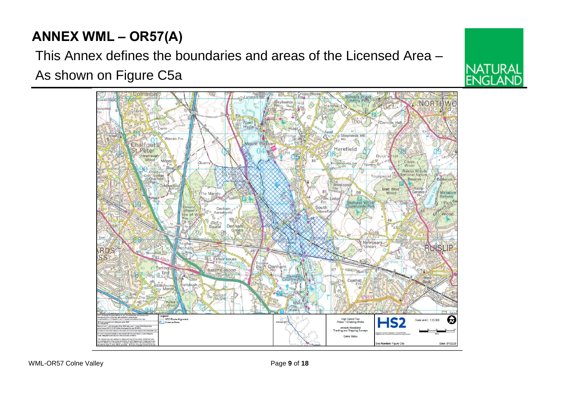# **ANNEX WML – OR57(A)**

This Annex defines the boundaries and areas of the Licensed Area – As shown on Figure C5a

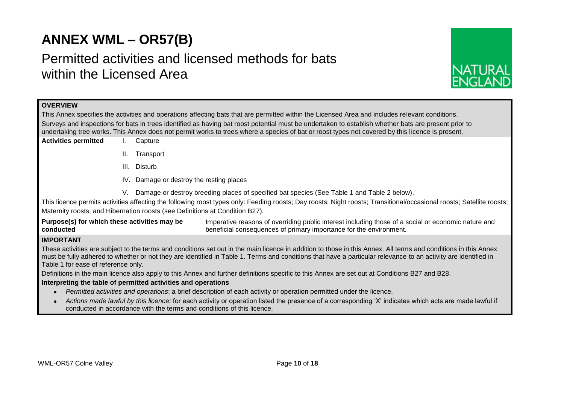# **ANNEX WML – OR57(B)**

# Permitted activities and licensed methods for bats within the Licensed Area



# **OVERVIEW**

This Annex specifies the activities and operations affecting bats that are permitted within the Licensed Area and includes relevant conditions. Surveys and inspections for bats in trees identified as having bat roost potential must be undertaken to establish whether bats are present prior to undertaking tree works. This Annex does not permit works to trees where a species of bat or roost types not covered by this licence is present.

- **Activities permitted** I. Capture
	- II. Transport
	- III. Disturb
	- IV. Damage or destroy the resting places
	- V. Damage or destroy breeding places of specified bat species (See Table 1 and Table 2 below).

This licence permits activities affecting the following roost types only: Feeding roosts; Day roosts; Night roosts; Transitional/occasional roosts; Satellite roosts; Maternity roosts, and Hibernation roosts (see Definitions at Condition B27).

**Purpose(s) for which these activities may be conducted** Imperative reasons of overriding public interest including those of a social or economic nature and beneficial consequences of primary importance for the environment.

# **IMPORTANT**

These activities are subject to the terms and conditions set out in the main licence in addition to those in this Annex. All terms and conditions in this Annex must be fully adhered to whether or not they are identified in Table 1. Terms and conditions that have a particular relevance to an activity are identified in Table 1 for ease of reference only.

Definitions in the main licence also apply to this Annex and further definitions specific to this Annex are set out at Conditions B27 and B28.

#### **Interpreting the table of permitted activities and operations**

- *Permitted activities and operations*: a brief description of each activity or operation permitted under the licence.
- *Actions made lawful by this licence:* for each activity or operation listed the presence of a corresponding 'X' indicates which acts are made lawful if conducted in accordance with the terms and conditions of this licence.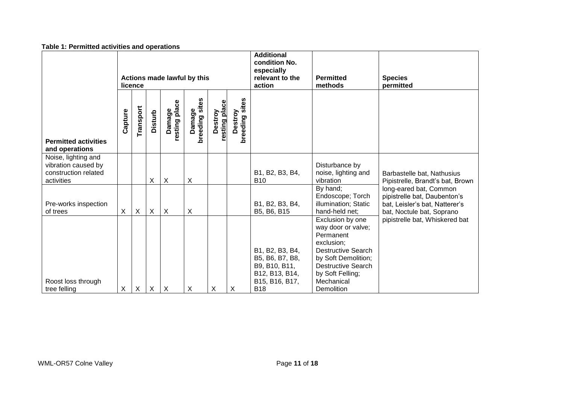|                                                                                  | Table 1. Fermitted activities and operations |           |                |                           |                          |                          |                                                                               |                                                                                                       |                                                                                                                                                                                                    |                                                                                                                       |
|----------------------------------------------------------------------------------|----------------------------------------------|-----------|----------------|---------------------------|--------------------------|--------------------------|-------------------------------------------------------------------------------|-------------------------------------------------------------------------------------------------------|----------------------------------------------------------------------------------------------------------------------------------------------------------------------------------------------------|-----------------------------------------------------------------------------------------------------------------------|
|                                                                                  | Actions made lawful by this<br>licence       |           |                |                           |                          |                          | <b>Additional</b><br>condition No.<br>especially<br>relevant to the<br>action | <b>Permitted</b><br>methods                                                                           | <b>Species</b><br>permitted                                                                                                                                                                        |                                                                                                                       |
| <b>Permitted activities</b><br>and operations                                    | Capture                                      | Transport | <b>Disturb</b> | resting place<br>Damage   | breeding sites<br>Damage | resting place<br>Destroy | Destroy<br>breeding sites                                                     |                                                                                                       |                                                                                                                                                                                                    |                                                                                                                       |
| Noise, lighting and<br>vibration caused by<br>construction related<br>activities |                                              |           | X              | $\boldsymbol{\mathsf{X}}$ | X                        |                          |                                                                               | B1, B2, B3, B4,<br><b>B10</b>                                                                         | Disturbance by<br>noise, lighting and<br>vibration                                                                                                                                                 | Barbastelle bat, Nathusius<br>Pipistrelle, Brandt's bat, Brown                                                        |
| Pre-works inspection<br>of trees                                                 | X                                            | X         | X              | $\boldsymbol{X}$          | X                        |                          |                                                                               | B1, B2, B3, B4,<br>B5, B6, B15                                                                        | By hand;<br>Endoscope; Torch<br>illumination; Static<br>hand-held net:                                                                                                                             | long-eared bat, Common<br>pipistrelle bat, Daubenton's<br>bat, Leisler's bat, Natterer's<br>bat, Noctule bat, Soprano |
| Roost loss through<br>tree felling                                               | X                                            | X         | X              | $\boldsymbol{\mathsf{X}}$ | X                        | X                        | $\times$                                                                      | B1, B2, B3, B4,<br>B5, B6, B7, B8,<br>B9, B10, B11,<br>B12, B13, B14,<br>B15, B16, B17,<br><b>B18</b> | Exclusion by one<br>way door or valve;<br>Permanent<br>exclusion;<br><b>Destructive Search</b><br>by Soft Demolition;<br><b>Destructive Search</b><br>by Soft Felling;<br>Mechanical<br>Demolition | pipistrelle bat, Whiskered bat                                                                                        |

# **Table 1: Permitted activities and operations**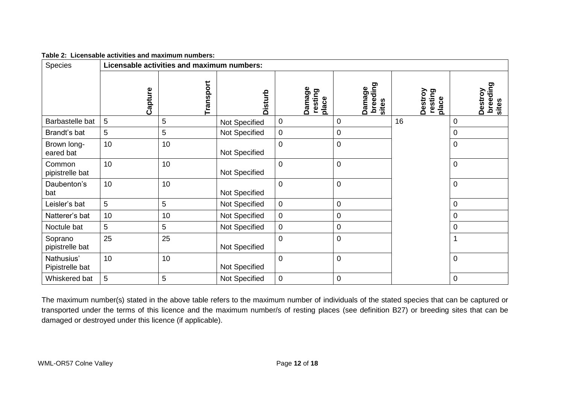| Table 2: Licensable activities and maximum numbers: |
|-----------------------------------------------------|
|                                                     |

| <b>Species</b>                |         | Licensable activities and maximum numbers: |                |                            |                             |                             |                              |
|-------------------------------|---------|--------------------------------------------|----------------|----------------------------|-----------------------------|-----------------------------|------------------------------|
|                               | Capture | Transport                                  | <b>Disturb</b> | Damage<br>resting<br>place | breeding<br>Damage<br>sites | Destroy<br>resting<br>place | breeding<br>Destroy<br>sites |
| Barbastelle bat               | 5       | 5                                          | Not Specified  | $\pmb{0}$                  | $\overline{0}$              | 16                          | 0                            |
| Brandt's bat                  | 5       | 5                                          | Not Specified  | $\pmb{0}$                  | $\mathbf 0$                 |                             | $\boldsymbol{0}$             |
| Brown long-<br>eared bat      | 10      | 10                                         | Not Specified  | $\overline{0}$             | $\mathbf 0$                 |                             | $\mathbf 0$                  |
| Common<br>pipistrelle bat     | 10      | 10                                         | Not Specified  | $\mathbf 0$                | $\mathbf 0$                 |                             | $\mathbf 0$                  |
| Daubenton's<br>bat            | 10      | 10                                         | Not Specified  | $\mathbf 0$                | $\boldsymbol{0}$            |                             | $\boldsymbol{0}$             |
| Leisler's bat                 | 5       | 5                                          | Not Specified  | $\mathbf 0$                | $\mathbf 0$                 |                             | 0                            |
| Natterer's bat                | 10      | 10                                         | Not Specified  | $\pmb{0}$                  | $\boldsymbol{0}$            |                             | $\mathbf 0$                  |
| Noctule bat                   | 5       | 5                                          | Not Specified  | $\pmb{0}$                  | $\boldsymbol{0}$            |                             | $\boldsymbol{0}$             |
| Soprano<br>pipistrelle bat    | 25      | 25                                         | Not Specified  | $\mathbf 0$                | $\boldsymbol{0}$            |                             |                              |
| Nathusius'<br>Pipistrelle bat | 10      | 10                                         | Not Specified  | $\overline{0}$             | $\mathbf 0$                 |                             | $\mathbf 0$                  |
| Whiskered bat                 | 5       | 5                                          | Not Specified  | $\pmb{0}$                  | $\overline{0}$              |                             | $\mathbf 0$                  |

The maximum number(s) stated in the above table refers to the maximum number of individuals of the stated species that can be captured or transported under the terms of this licence and the maximum number/s of resting places (see definition B27) or breeding sites that can be damaged or destroyed under this licence (if applicable).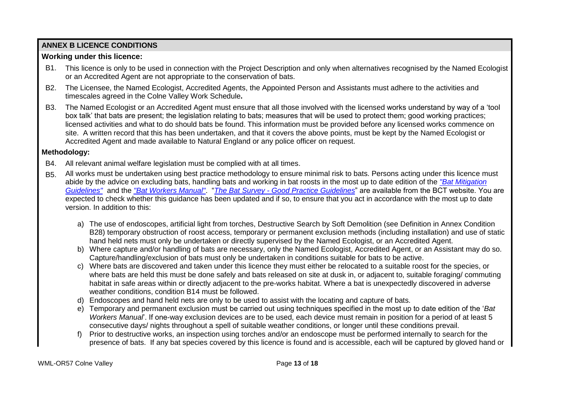# **ANNEX B LICENCE CONDITIONS**

# **Working under this licence:**

- B1. This licence is only to be used in connection with the Project Description and only when alternatives recognised by the Named Ecologist or an Accredited Agent are not appropriate to the conservation of bats.
- B2. The Licensee, the Named Ecologist, Accredited Agents, the Appointed Person and Assistants must adhere to the activities and timescales agreed in the Colne Valley Work Schedule**.**
- B3. The Named Ecologist or an Accredited Agent must ensure that all those involved with the licensed works understand by way of a 'tool box talk' that bats are present; the legislation relating to bats; measures that will be used to protect them; good working practices; licensed activities and what to do should bats be found. This information must be provided before any licensed works commence on site. A written record that this has been undertaken, and that it covers the above points, must be kept by the Named Ecologist or Accredited Agent and made available to Natural England or any police officer on request.

# **Methodology:**

- B4. All relevant animal welfare legislation must be complied with at all times.
- B5. All works must be undertaken using best practice methodology to ensure minimal risk to bats. Persons acting under this licence must abide by the advice on excluding bats, handling bats and working in bat roosts in the most up to date edition of the *"Bat Mitigation Guidelines"* and the *"Bat Workers Manual"*. "*The Bat Survey - Good Practice Guidelines*" are available from the BCT website. You are expected to check whether this guidance has been updated and if so, to ensure that you act in accordance with the most up to date version. In addition to this:
	- a) The use of endoscopes, artificial light from torches, Destructive Search by Soft Demolition (see Definition in Annex Condition B28) temporary obstruction of roost access, temporary or permanent exclusion methods (including installation) and use of static hand held nets must only be undertaken or directly supervised by the Named Ecologist, or an Accredited Agent.
	- b) Where capture and/or handling of bats are necessary, only the Named Ecologist, Accredited Agent, or an Assistant may do so. Capture/handling/exclusion of bats must only be undertaken in conditions suitable for bats to be active.
	- c) Where bats are discovered and taken under this licence they must either be relocated to a suitable roost for the species, or where bats are held this must be done safely and bats released on site at dusk in, or adjacent to, suitable foraging/ commuting habitat in safe areas within or directly adjacent to the pre-works habitat. Where a bat is unexpectedly discovered in adverse weather conditions, condition B14 must be followed.
	- d) Endoscopes and hand held nets are only to be used to assist with the locating and capture of bats.
	- e) Temporary and permanent exclusion must be carried out using techniques specified in the most up to date edition of the '*Bat Workers Manual*'. If one-way exclusion devices are to be used, each device must remain in position for a period of at least 5 consecutive days/ nights throughout a spell of suitable weather conditions, or longer until these conditions prevail.
	- f) Prior to destructive works, an inspection using torches and/or an endoscope must be performed internally to search for the presence of bats. If any bat species covered by this licence is found and is accessible, each will be captured by gloved hand or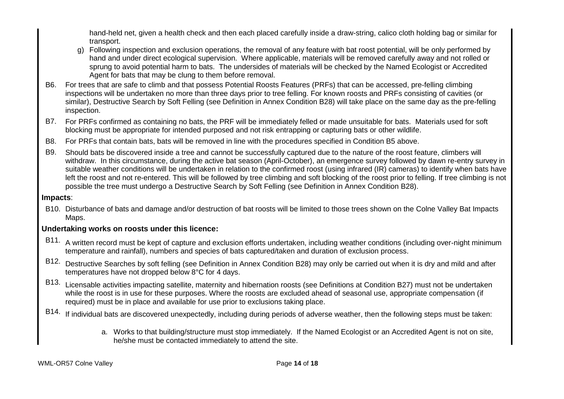hand-held net, given a health check and then each placed carefully inside a draw-string, calico cloth holding bag or similar for transport.

- g) Following inspection and exclusion operations, the removal of any feature with bat roost potential, will be only performed by hand and under direct ecological supervision. Where applicable, materials will be removed carefully away and not rolled or sprung to avoid potential harm to bats. The undersides of materials will be checked by the Named Ecologist or Accredited Agent for bats that may be clung to them before removal.
- B6. For trees that are safe to climb and that possess Potential Roosts Features (PRFs) that can be accessed, pre-felling climbing inspections will be undertaken no more than three days prior to tree felling. For known roosts and PRFs consisting of cavities (or similar), Destructive Search by Soft Felling (see Definition in Annex Condition B28) will take place on the same day as the pre-felling inspection.
- B7. For PRFs confirmed as containing no bats, the PRF will be immediately felled or made unsuitable for bats. Materials used for soft blocking must be appropriate for intended purposed and not risk entrapping or capturing bats or other wildlife.
- B8. For PRFs that contain bats, bats will be removed in line with the procedures specified in Condition B5 above.
- B9. Should bats be discovered inside a tree and cannot be successfully captured due to the nature of the roost feature, climbers will withdraw. In this circumstance, during the active bat season (April-October), an emergence survey followed by dawn re-entry survey in suitable weather conditions will be undertaken in relation to the confirmed roost (using infrared (IR) cameras) to identify when bats have left the roost and not re-entered. This will be followed by tree climbing and soft blocking of the roost prior to felling. If tree climbing is not possible the tree must undergo a Destructive Search by Soft Felling (see Definition in Annex Condition B28).

# **Impacts**:

B10. Disturbance of bats and damage and/or destruction of bat roosts will be limited to those trees shown on the Colne Valley Bat Impacts Maps.

# **Undertaking works on roosts under this licence:**

- B11. A written record must be kept of capture and exclusion efforts undertaken, including weather conditions (including over-night minimum temperature and rainfall), numbers and species of bats captured/taken and duration of exclusion process.
- B12. Destructive Searches by soft felling (see Definition in Annex Condition B28) may only be carried out when it is dry and mild and after temperatures have not dropped below 8°C for 4 days.
- B13. Licensable activities impacting satellite, maternity and hibernation roosts (see Definitions at Condition B27) must not be undertaken while the roost is in use for these purposes. Where the roosts are excluded ahead of seasonal use, appropriate compensation (if required) must be in place and available for use prior to exclusions taking place.
- B14. If individual bats are discovered unexpectedly, including during periods of adverse weather, then the following steps must be taken:
	- a. Works to that building/structure must stop immediately. If the Named Ecologist or an Accredited Agent is not on site, he/she must be contacted immediately to attend the site.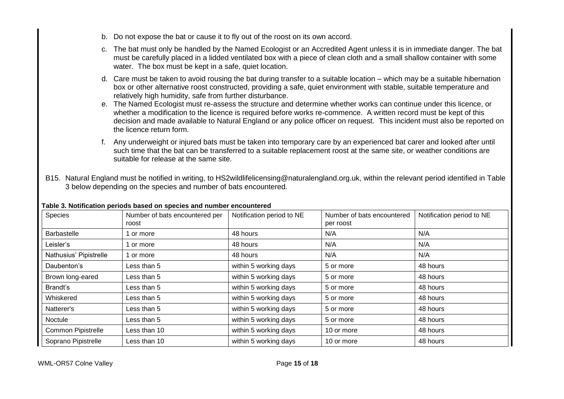- b. Do not expose the bat or cause it to fly out of the roost on its own accord.
- c. The bat must only be handled by the Named Ecologist or an Accredited Agent unless it is in immediate danger. The bat must be carefully placed in a lidded ventilated box with a piece of clean cloth and a small shallow container with some water. The box must be kept in a safe, quiet location.
- d. Care must be taken to avoid rousing the bat during transfer to a suitable location which may be a suitable hibernation box or other alternative roost constructed, providing a safe, quiet environment with stable, suitable temperature and relatively high humidity, safe from further disturbance.
- e. The Named Ecologist must re-assess the structure and determine whether works can continue under this licence, or whether a modification to the licence is required before works re-commence. A written record must be kept of this decision and made available to Natural England or any police officer on request. This incident must also be reported on the licence return form.
- f. Any underweight or injured bats must be taken into temporary care by an experienced bat carer and looked after until such time that the bat can be transferred to a suitable replacement roost at the same site, or weather conditions are suitable for release at the same site.
- B15. Natural England must be notified in writing, to HS2wildlifelicensing@naturalengland.org.uk, within the relevant period identified in Table 3 below depending on the species and number of bats encountered.

| <b>Species</b>            | Number of bats encountered per<br>roost | Notification period to NE | Number of bats encountered<br>per roost | Notification period to NE |
|---------------------------|-----------------------------------------|---------------------------|-----------------------------------------|---------------------------|
| <b>Barbastelle</b>        | or more                                 | 48 hours                  | N/A                                     | N/A                       |
| Leisler's                 | or more                                 | 48 hours                  | N/A                                     | N/A                       |
| Nathusius' Pipistrelle    | or more                                 | 48 hours                  | N/A                                     | N/A                       |
| Daubenton's               | Less than 5                             | within 5 working days     | 5 or more                               | 48 hours                  |
| Brown long-eared          | Less than 5                             | within 5 working days     | 5 or more                               | 48 hours                  |
| Brandt's                  | Less than 5                             | within 5 working days     | 5 or more                               | 48 hours                  |
| Whiskered                 | Less than 5                             | within 5 working days     | 5 or more                               | 48 hours                  |
| Natterer's                | Less than 5                             | within 5 working days     | 5 or more                               | 48 hours                  |
| Noctule                   | Less than 5                             | within 5 working days     | 5 or more                               | 48 hours                  |
| <b>Common Pipistrelle</b> | Less than 10                            | within 5 working days     | 10 or more                              | 48 hours                  |
| Soprano Pipistrelle       | Less than 10                            | within 5 working days     | 10 or more                              | 48 hours                  |

# **Table 3. Notification periods based on species and number encountered**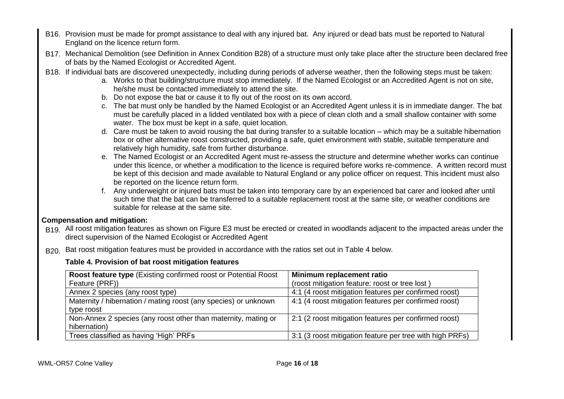- B16. Provision must be made for prompt assistance to deal with any injured bat. Any injured or dead bats must be reported to Natural England on the licence return form.
- B17. Mechanical Demolition (see Definition in Annex Condition B28) of a structure must only take place after the structure been declared free of bats by the Named Ecologist or Accredited Agent.
- B18. If individual bats are discovered unexpectedly, including during periods of adverse weather, then the following steps must be taken:
	- a. Works to that building/structure must stop immediately. If the Named Ecologist or an Accredited Agent is not on site, he/she must be contacted immediately to attend the site.
	- b. Do not expose the bat or cause it to fly out of the roost on its own accord.
	- c. The bat must only be handled by the Named Ecologist or an Accredited Agent unless it is in immediate danger. The bat must be carefully placed in a lidded ventilated box with a piece of clean cloth and a small shallow container with some water. The box must be kept in a safe, quiet location.
	- d. Care must be taken to avoid rousing the bat during transfer to a suitable location which may be a suitable hibernation box or other alternative roost constructed, providing a safe, quiet environment with stable, suitable temperature and relatively high humidity, safe from further disturbance.
	- e. The Named Ecologist or an Accredited Agent must re-assess the structure and determine whether works can continue under this licence, or whether a modification to the licence is required before works re-commence. A written record must be kept of this decision and made available to Natural England or any police officer on request. This incident must also be reported on the licence return form.
	- f. Any underweight or injured bats must be taken into temporary care by an experienced bat carer and looked after until such time that the bat can be transferred to a suitable replacement roost at the same site, or weather conditions are suitable for release at the same site.

# **Compensation and mitigation:**

- B<sub>19.</sub> All roost mitigation features as shown on Figure E3 must be erected or created in woodlands adjacent to the impacted areas under the direct supervision of the Named Ecologist or Accredited Agent
- B<sub>20</sub>. Bat roost mitigation features must be provided in accordance with the ratios set out in Table 4 below.

# **Table 4. Provision of bat roost mitigation features**

| Roost feature type (Existing confirmed roost or Potential Roost | Minimum replacement ratio                                |
|-----------------------------------------------------------------|----------------------------------------------------------|
| Feature (PRF))                                                  | (roost mitigation feature: roost or tree lost)           |
| Annex 2 species (any roost type)                                | 4:1 (4 roost mitigation features per confirmed roost)    |
| Maternity / hibernation / mating roost (any species) or unknown | 4:1 (4 roost mitigation features per confirmed roost)    |
| type roost                                                      |                                                          |
| Non-Annex 2 species (any roost other than maternity, mating or  | 2:1 (2 roost mitigation features per confirmed roost)    |
| hibernation)                                                    |                                                          |
| Trees classified as having 'High' PRFs                          | 3:1 (3 roost mitigation feature per tree with high PRFs) |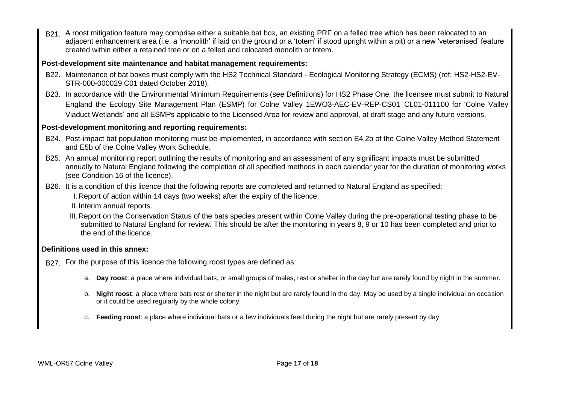B21. A roost mitigation feature may comprise either a suitable bat box, an existing PRF on a felled tree which has been relocated to an adjacent enhancement area (i.e. a 'monolith' if laid on the ground or a 'totem' if stood upright within a pit) or a new 'veteranised' feature created within either a retained tree or on a felled and relocated monolith or totem.

# **Post-development site maintenance and habitat management requirements:**

- B22. Maintenance of bat boxes must comply with the HS2 Technical Standard Ecological Monitoring Strategy (ECMS) (ref: HS2-HS2-EV-STR-000-000029 C01 dated October 2018).
- B23. In accordance with the Environmental Minimum Requirements (see Definitions) for HS2 Phase One, the licensee must submit to Natural England the Ecology Site Management Plan (ESMP) for Colne Valley 1EWO3-AEC-EV-REP-CS01\_CL01-011100 for 'Colne Valley Viaduct Wetlands' and all ESMPs applicable to the Licensed Area for review and approval, at draft stage and any future versions.

# **Post-development monitoring and reporting requirements:**

- B24. Post-impact bat population monitoring must be implemented, in accordance with section E4.2b of the Colne Valley Method Statement and E5b of the Colne Valley Work Schedule.
- B25. An annual monitoring report outlining the results of monitoring and an assessment of any significant impacts must be submitted annually to Natural England following the completion of all specified methods in each calendar year for the duration of monitoring works (see Condition 16 of the licence).
- B26. It is a condition of this licence that the following reports are completed and returned to Natural England as specified: I. Report of action within 14 days (two weeks) after the expiry of the licence;
	- II. Interim annual reports.
	- III. Report on the Conservation Status of the bats species present within Colne Valley during the pre-operational testing phase to be submitted to Natural England for review. This should be after the monitoring in years 8, 9 or 10 has been completed and prior to the end of the licence.

# **Definitions used in this annex:**

- B<sub>27</sub>. For the purpose of this licence the following roost types are defined as:
	- a. **Day roost**: a place where individual bats, or small groups of males, rest or shelter in the day but are rarely found by night in the summer.
	- b. **Night roost**: a place where bats rest or shelter in the night but are rarely found in the day. May be used by a single individual on occasion or it could be used regularly by the whole colony.
	- c. **Feeding roost**: a place where individual bats or a few individuals feed during the night but are rarely present by day.